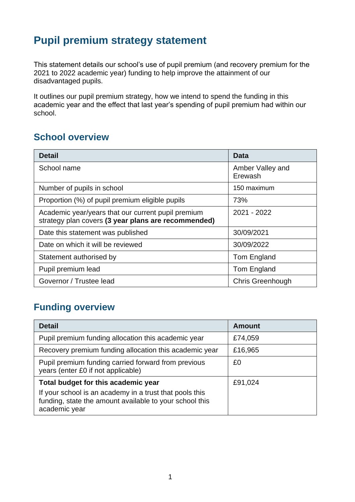## **Pupil premium strategy statement**

This statement details our school's use of pupil premium (and recovery premium for the 2021 to 2022 academic year) funding to help improve the attainment of our disadvantaged pupils.

It outlines our pupil premium strategy, how we intend to spend the funding in this academic year and the effect that last year's spending of pupil premium had within our school.

### **School overview**

| <b>Detail</b>                                                                                             | Data                        |
|-----------------------------------------------------------------------------------------------------------|-----------------------------|
| School name                                                                                               | Amber Valley and<br>Erewash |
| Number of pupils in school                                                                                | 150 maximum                 |
| Proportion (%) of pupil premium eligible pupils                                                           | 73%                         |
| Academic year/years that our current pupil premium<br>strategy plan covers (3 year plans are recommended) | 2021 - 2022                 |
| Date this statement was published                                                                         | 30/09/2021                  |
| Date on which it will be reviewed                                                                         | 30/09/2022                  |
| Statement authorised by                                                                                   | Tom England                 |
| Pupil premium lead                                                                                        | Tom England                 |
| Governor / Trustee lead                                                                                   | <b>Chris Greenhough</b>     |

## **Funding overview**

| <b>Detail</b>                                                                                                                       | <b>Amount</b> |
|-------------------------------------------------------------------------------------------------------------------------------------|---------------|
| Pupil premium funding allocation this academic year                                                                                 | £74,059       |
| Recovery premium funding allocation this academic year                                                                              | £16,965       |
| Pupil premium funding carried forward from previous<br>years (enter £0 if not applicable)                                           | £0            |
| Total budget for this academic year                                                                                                 | £91,024       |
| If your school is an academy in a trust that pools this<br>funding, state the amount available to your school this<br>academic year |               |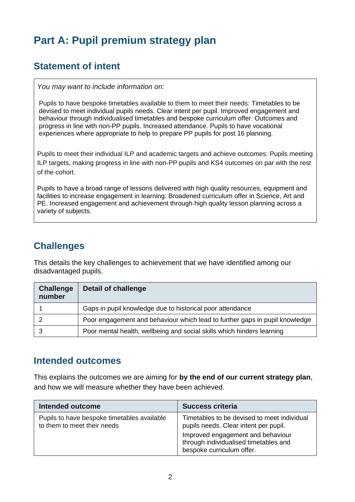# **Part A: Pupil premium strategy plan**

## **Statement of intent**

*You may want to include information on:*

Pupils to have bespoke timetables available to them to meet their needs: Timetables to be devised to meet individual pupils needs. Clear intent per pupil. Improved engagement and behaviour through individualised timetables and bespoke curriculum offer. Outcomes and progress in line with non-PP pupils. Increased attendance. Pupils to have vocational experiences where appropriate to help to prepare PP pupils for post 16 planning.

Pupils to meet their individual ILP and academic targets and achieve outcomes: Pupils meeting ILP targets, making progress in line with non-PP pupils and KS4 outcomes on par with the rest of the cohort.

Pupils to have a broad range of lessons delivered with high quality resources, equipment and facilities to increase engagement in learning: Broadened curriculum offer in Science, Art and PE. Increased engagement and achievement through high quality lesson planning across a variety of subjects.

## **Challenges**

This details the key challenges to achievement that we have identified among our disadvantaged pupils.

| <b>Challenge</b><br>number | Detail of challenge                                                         |
|----------------------------|-----------------------------------------------------------------------------|
|                            | Gaps in pupil knowledge due to historical poor attendance                   |
|                            | Poor engagement and behaviour which lead to further gaps in pupil knowledge |
|                            | Poor mental health, wellbeing and social skills which hinders learning      |

#### **Intended outcomes**

This explains the outcomes we are aiming for **by the end of our current strategy plan**, and how we will measure whether they have been achieved.

| <b>Intended outcome</b>                                                    | <b>Success criteria</b>                                                                                                                                                                         |
|----------------------------------------------------------------------------|-------------------------------------------------------------------------------------------------------------------------------------------------------------------------------------------------|
| Pupils to have bespoke timetables available<br>to them to meet their needs | Timetables to be devised to meet individual<br>pupils needs. Clear intent per pupil.<br>Improved engagement and behaviour<br>through individualised timetables and<br>bespoke curriculum offer. |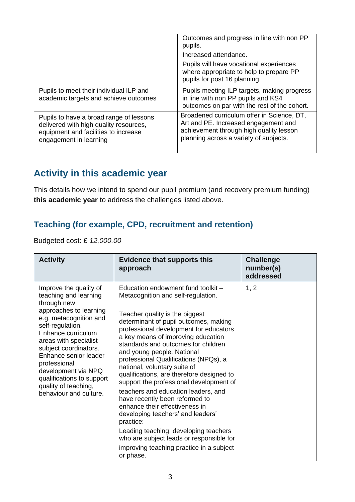|                                                                                                                                                     | Outcomes and progress in line with non PP<br>pupils.                                                                                                                    |
|-----------------------------------------------------------------------------------------------------------------------------------------------------|-------------------------------------------------------------------------------------------------------------------------------------------------------------------------|
|                                                                                                                                                     | Increased attendance.                                                                                                                                                   |
|                                                                                                                                                     | Pupils will have vocational experiences<br>where appropriate to help to prepare PP<br>pupils for post 16 planning.                                                      |
| Pupils to meet their individual ILP and<br>academic targets and achieve outcomes                                                                    | Pupils meeting ILP targets, making progress<br>in line with non PP pupils and KS4<br>outcomes on par with the rest of the cohort.                                       |
| Pupils to have a broad range of lessons<br>delivered with high quality resources,<br>equipment and facilities to increase<br>engagement in learning | Broadened curriculum offer in Science, DT,<br>Art and PE. Increased engagement and<br>achievement through high quality lesson<br>planning across a variety of subjects. |

## **Activity in this academic year**

This details how we intend to spend our pupil premium (and recovery premium funding) **this academic year** to address the challenges listed above.

#### **Teaching (for example, CPD, recruitment and retention)**

Budgeted cost: £ *12,000.00*

| <b>Activity</b>                                                                                                                                                                                                                                                                                                                                               | <b>Evidence that supports this</b><br>approach                                                                                                                                                                                                                                                                                                                                                                                                                                                                                                                                                                                                                                                                                                                                       | <b>Challenge</b><br>number(s)<br>addressed |
|---------------------------------------------------------------------------------------------------------------------------------------------------------------------------------------------------------------------------------------------------------------------------------------------------------------------------------------------------------------|--------------------------------------------------------------------------------------------------------------------------------------------------------------------------------------------------------------------------------------------------------------------------------------------------------------------------------------------------------------------------------------------------------------------------------------------------------------------------------------------------------------------------------------------------------------------------------------------------------------------------------------------------------------------------------------------------------------------------------------------------------------------------------------|--------------------------------------------|
| Improve the quality of<br>teaching and learning<br>through new<br>approaches to learning<br>e.g. metacognition and<br>self-regulation.<br>Enhance curriculum<br>areas with specialist<br>subject coordinators.<br>Enhance senior leader<br>professional<br>development via NPQ<br>qualifications to support<br>quality of teaching,<br>behaviour and culture. | Education endowment fund toolkit -<br>Metacognition and self-regulation.<br>Teacher quality is the biggest<br>determinant of pupil outcomes, making<br>professional development for educators<br>a key means of improving education<br>standards and outcomes for children<br>and young people. National<br>professional Qualifications (NPQs), a<br>national, voluntary suite of<br>qualifications, are therefore designed to<br>support the professional development of<br>teachers and education leaders, and<br>have recently been reformed to<br>enhance their effectiveness in<br>developing teachers' and leaders'<br>practice:<br>Leading teaching: developing teachers<br>who are subject leads or responsible for<br>improving teaching practice in a subject<br>or phase. | 1, 2                                       |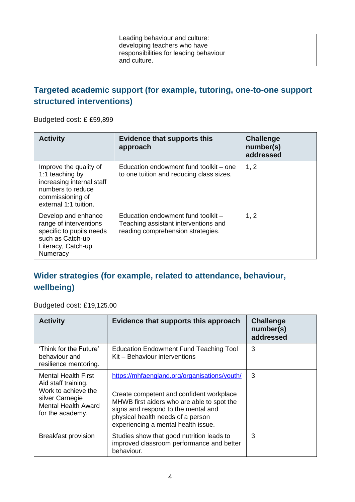| responsibilities for leading behaviour<br>and culture. |
|--------------------------------------------------------|
|--------------------------------------------------------|

### **Targeted academic support (for example, tutoring, one-to-one support structured interventions)**

Budgeted cost: £ £59,899

| <b>Activity</b>                                                                                                                          | <b>Evidence that supports this</b><br>approach                                                                  | <b>Challenge</b><br>number(s)<br>addressed |
|------------------------------------------------------------------------------------------------------------------------------------------|-----------------------------------------------------------------------------------------------------------------|--------------------------------------------|
| Improve the quality of<br>1:1 teaching by<br>increasing internal staff<br>numbers to reduce<br>commissioning of<br>external 1:1 tuition. | Education endowment fund toolkit – one<br>to one tuition and reducing class sizes.                              | 1, 2                                       |
| Develop and enhance<br>range of interventions<br>specific to pupils needs<br>such as Catch-up<br>Literacy, Catch-up<br>Numeracy          | Education endowment fund toolkit -<br>Teaching assistant interventions and<br>reading comprehension strategies. | 1, 2                                       |

### **Wider strategies (for example, related to attendance, behaviour, wellbeing)**

Budgeted cost: £19,125.00

| <b>Activity</b>                                                                                                                               | Evidence that supports this approach                                                                                                                                                                                                                      | <b>Challenge</b><br>number(s)<br>addressed |
|-----------------------------------------------------------------------------------------------------------------------------------------------|-----------------------------------------------------------------------------------------------------------------------------------------------------------------------------------------------------------------------------------------------------------|--------------------------------------------|
| 'Think for the Future'<br>behaviour and<br>resilience mentoring.                                                                              | <b>Education Endowment Fund Teaching Tool</b><br>Kit - Behaviour interventions                                                                                                                                                                            | 3                                          |
| <b>Mental Health First</b><br>Aid staff training.<br>Work to achieve the<br>silver Carnegie<br><b>Mental Health Award</b><br>for the academy. | https://mhfaengland.org/organisations/youth/<br>Create competent and confident workplace<br>MHWB first aiders who are able to spot the<br>signs and respond to the mental and<br>physical health needs of a person<br>experiencing a mental health issue. | 3                                          |
| <b>Breakfast provision</b>                                                                                                                    | Studies show that good nutrition leads to<br>improved classroom performance and better<br>behaviour.                                                                                                                                                      | 3                                          |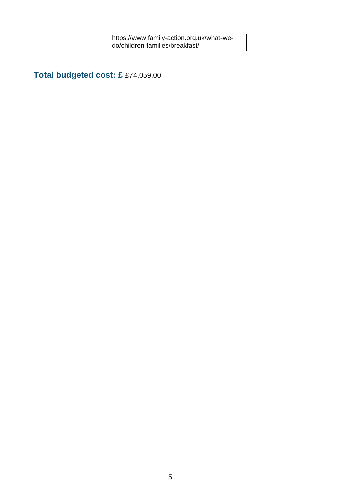| https://www.family-action.org.uk/what-we- |  |
|-------------------------------------------|--|
| do/children-families/breakfast/           |  |

## **Total budgeted cost: £** £74,059.00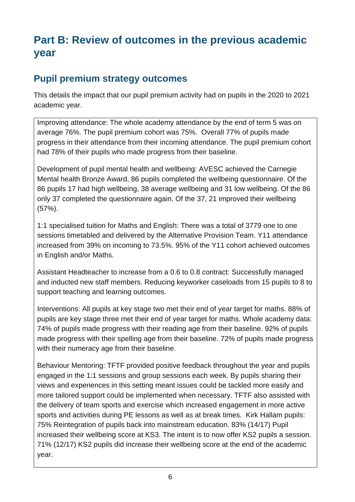# **Part B: Review of outcomes in the previous academic year**

### **Pupil premium strategy outcomes**

This details the impact that our pupil premium activity had on pupils in the 2020 to 2021 academic year.

Improving attendance: The whole academy attendance by the end of term 5 was on average 76%. The pupil premium cohort was 75%. Overall 77% of pupils made progress in their attendance from their incoming attendance. The pupil premium cohort had 78% of their pupils who made progress from their baseline.

Development of pupil mental health and wellbeing: AVESC achieved the Carnegie Mental health Bronze Award, 86 pupils completed the wellbeing questionnaire. Of the 86 pupils 17 had high wellbeing, 38 average wellbeing and 31 low wellbeing. Of the 86 only 37 completed the questionnaire again. Of the 37, 21 improved their wellbeing (57%).

1:1 specialised tuition for Maths and English: There was a total of 3779 one to one sessions timetabled and delivered by the Alternative Provision Team. Y11 attendance increased from 39% on incoming to 73.5%. 95% of the Y11 cohort achieved outcomes in English and/or Maths.

Assistant Headteacher to increase from a 0.6 to 0.8 contract: Successfully managed and inducted new staff members. Reducing keyworker caseloads from 15 pupils to 8 to support teaching and learning outcomes.

Interventions: All pupils at key stage two met their end of year target for maths. 88% of pupils are key stage three met their end of year target for maths. Whole academy data: 74% of pupils made progress with their reading age from their baseline. 92% of pupils made progress with their spelling age from their baseline. 72% of pupils made progress with their numeracy age from their baseline.

Behaviour Mentoring: TFTF provided positive feedback throughout the year and pupils engaged in the 1:1 sessions and group sessions each week. By pupils sharing their views and experiences in this setting meant issues could be tackled more easily and more tailored support could be implemented when necessary. TFTF also assisted with the delivery of team sports and exercise which increased engagement in more active sports and activities during PE lessons as well as at break times. Kirk Hallam pupils: 75% Reintegration of pupils back into mainstream education. 83% (14/17) Pupil increased their wellbeing score at KS3. The intent is to now offer KS2 pupils a session. 71% (12/17) KS2 pupils did increase their wellbeing score at the end of the academic year.